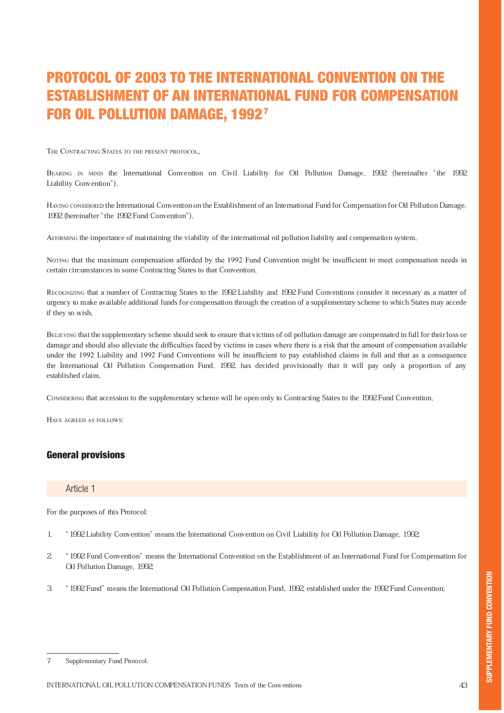# PROTOCOL OF 2003 TO THE INTERNATIONAL CONVENTION ON THE ESTABLISHMENT OF AN INTERNATIONAL FUND FOR COMPENSATION FOR OIL POLLUTION DAMAGE, 19927

THE CONTRACTING STATES TO THE PRESENT PROTOCOL,

BEARING IN MIND the International Convention on Civil Liability for Oil Pollution Damage, 1992 (hereinafter "the 1992 Liability Convention"),

HAVING CONSIDERED the International Convention on the Establishment of an International Fund for Compensation for Oil Pollution Damage, 1992 (hereinafter "the 1992 Fund Convention"),

AFFIRMING the importance of maintaining the viability of the international oil pollution liability and compensation system,

NOTING that the maximum compensation afforded by the 1992 Fund Convention might be insufficient to meet compensation needs in certain circumstances in some Contracting States to that Convention,

RECOGNIZING that a number of Contracting States to the 1992 Liability and 1992 Fund Conventions consider it necessary as a matter of urgency to make available additional funds for compensation through the creation of a supplementary scheme to which States may accede if they so wish,

BELIEVING that the supplementary scheme should seek to ensure that victims of oil pollution damage are compensated in full for their loss or damage and should also alleviate the difficulties faced by victims in cases where there is a risk that the amount of compensation available under the 1992 Liability and 1992 Fund Conventions will be insufficient to pay established claims in full and that as a consequence the International Oil Pollution Compensation Fund, 1992, has decided provisionally that it will pay only a proportion of any established claim,

CONSIDERING that accession to the supplementary scheme will be open only to Contracting States to the 1992 Fund Convention,

HAVE AGREED AS FOLLOWS:

# General provisions

#### Article 1

For the purposes of this Protocol:

- 1. ª1992 Liability Conventionº means the International Convention on Civil Liability for Oil Pollution Damage, 1992;
- 2. ª1992 Fund Conventionº means the International Convention on the Establishment of an International Fund for Compensation for Oil Pollution Damage, 1992;
- 3. ª1992 Fundº means the International Oil Pollution Compensation Fund, 1992, established under the 1992 Fund Convention;

<sup>7</sup> Supplementary Fund Protocol.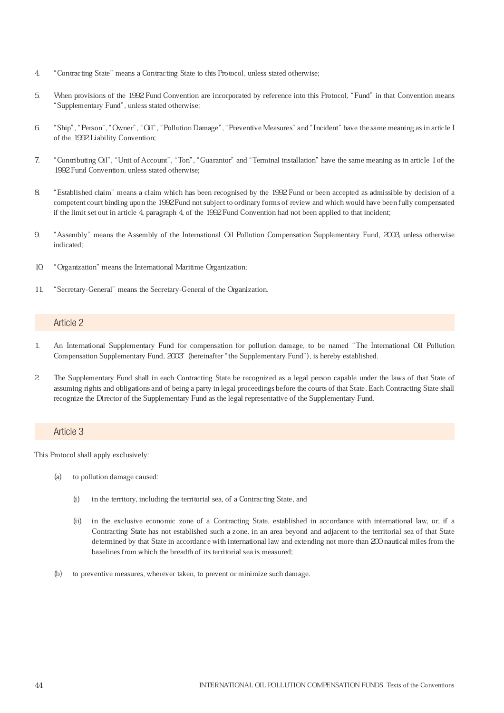- 4. ªContracting Stateº means a Contracting State to this Protocol, unless stated otherwise;
- 5. When provisions of the 1992 Fund Convention are incorporated by reference into this Protocol, ªFundº in that Convention means ªSupplementary Fundº, unless stated otherwise;
- 6. ªShipº, ªPersonº, ªOwnerº, ªOilº, ªPollution Damageº, ªPreventive Measuresº and ªIncidentº have the same meaning as in article I of the 1992 Liability Convention;
- 7. ªContributing Oilº, ªUnit of Accountº, ªTonº, ªGuarantorº and ªTerminal installationº have the same meaning as in article 1 of the 1992 Fund Convention, unless stated otherwise;
- 8. ªEstablished claimº means a claim which has been recognised by the 1992 Fund or been accepted as admissible by decision of a competent court binding upon the 1992 Fund not subject to ordinary forms of review and which would have been fully compensated if the limit set out in article 4, paragraph 4, of the 1992 Fund Convention had not been applied to that incident;
- 9. ªAssemblyº means the Assembly of the International Oil Pollution Compensation Supplementary Fund, 2003, unless otherwise indicated;
- 10. "Organization" means the International Maritime Organization;
- 11. "Secretary-General" means the Secretary-General of the Organization.

- 1. An International Supplementary Fund for compensation for pollution damage, to be named ªThe International Oil Pollution Compensation Supplementary Fund, 2003' (hereinafter "the Supplementary Fund"), is hereby established.
- 2. The Supplementary Fund shall in each Contracting State be recognized as a legal person capable under the laws of that State of assuming rights and obligations and of being a party in legal proceedings before the courts of that State. Each Contracting State shall recognize the Director of the Supplementary Fund as the legal representative of the Supplementary Fund.

#### Article 3

This Protocol shall apply exclusively:

- (a) to pollution damage caused:
	- (i) in the territory, including the territorial sea, of a Contracting State, and
	- (ii) in the exclusive economic zone of a Contracting State, established in accordance with international law, or, if a Contracting State has not established such a zone, in an area beyond and adjacent to the territorial sea of that State determined by that State in accordance with international law and extending not more than 200 nautical miles from the baselines from which the breadth of its territorial sea is measured;
- (b) to preventive measures, wherever taken, to prevent or minimize such damage.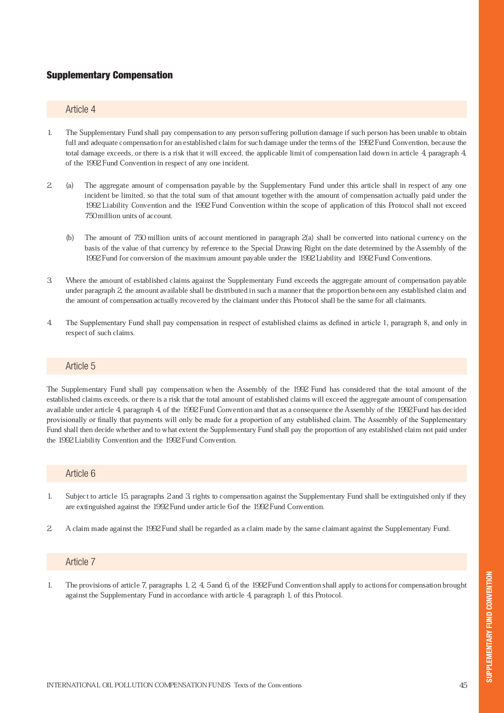# Supplementary Compensation

#### Article 4

- 1. The Supplementary Fund shall pay compensation to any person suffering pollution damage if such person has been unable to obtain full and adequate compensation for an established claim for such damage under the terms of the 1992 Fund Convention, because the total damage exceeds, or there is a risk that it will exceed, the applicable limit of compensation laid down in article 4, paragraph 4, of the 1992 Fund Convention in respect of any one incident.
- (a) The aggregate amount of compensation payable by the Supplementary Fund under this article shall in respect of any one incident be limited, so that the total sum of that amount together with the amount of compensation actually paid under the 1992 Liability Convention and the 1992 Fund Convention within the scope of application of this Protocol shall not exceed 750 million units of account. 2.
	- (b) The amount of 750 million units of account mentioned in paragraph 2(a) shall be converted into national currency on the basis of the value of that currency by reference to the Special Drawing Right on the date determined by the Assembly of the 1992 Fund for conversion of the maximum amount payable under the 1992 Liability and 1992 Fund Conventions.
- 3. Where the amount of established claims against the Supplementary Fund exceeds the aggregate amount of compensation payable under paragraph 2, the amount available shall be distributed in such a manner that the proportion between any established claim and the amount of compensation actually recovered by the claimant under this Protocol shall be the same for all claimants.
- 4. The Supplementary Fund shall pay compensation in respect of established claims as defined in article 1, paragraph 8, and only in respect of such claims.

#### Article 5

The Supplementary Fund shall pay compensation when the Assembly of the 1992 Fund has considered that the total amount of the established claims exceeds, or there is a risk that the total amount of established claims will exceed the aggregate amount of compensation available under article 4, paragraph 4, of the 1992 Fund Convention and that as a consequence the Assembly of the 1992 Fund has decided provisionally or finally that payments will only be made for a proportion of any established claim. The Assembly of the Supplementary Fund shall then decide whether and to what extent the Supplementary Fund shall pay the proportion of any established claim not paid under the 1992 Liability Convention and the 1992 Fund Convention.

#### Article 6

- 1. Subject to article 15, paragraphs 2 and 3, rights to compensation against the Supplementary Fund shall be extinguished only if they are extinguished against the 1992 Fund under article 6 of the 1992 Fund Convention.
- 2. A claim made against the 1992 Fund shall be regarded as a claim made by the same claimant against the Supplementary Fund.

#### Article 7

1. The provisions of article 7, paragraphs 1, 2, 4, 5 and 6, of the 1992 Fund Convention shall apply to actions for compensation brought against the Supplementary Fund in accordance with article 4, paragraph 1, of this Protocol.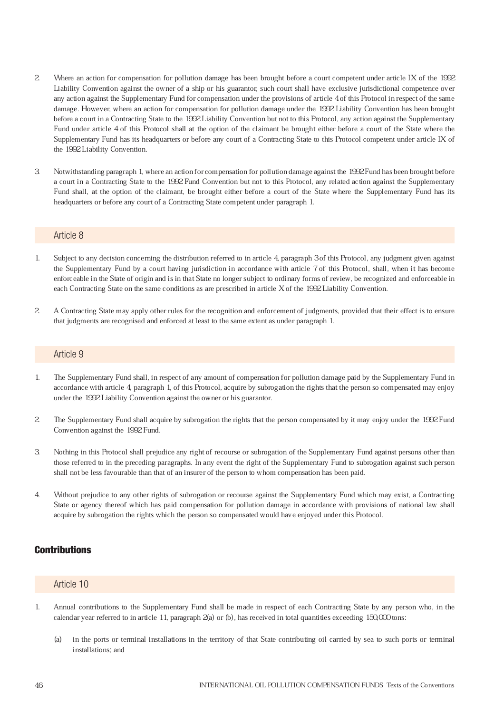- 2. Where an action for compensation for pollution damage has been brought before a court competent under article IX of the 1992 Liability Convention against the owner of a ship or his guarantor, such court shall have exclusive jurisdictional competence over any action against the Supplementary Fund for compensation under the provisions of article 4 of this Protocol in respect of the same damage. However, where an action for compensation for pollution damage under the 1992 Liability Convention has been brought before a court in a Contracting State to the 1992 Liability Convention but not to this Protocol, any action against the Supplementary Fund under article 4 of this Protocol shall at the option of the claimant be brought either before a court of the State where the Supplementary Fund has its headquarters or before any court of a Contracting State to this Protocol competent under article IX of the 1992 Liability Convention.
- 3. Notwithstanding paragraph 1, where an action for compensation for pollution damage against the 1992 Fund has been brought before a court in a Contracting State to the 1992 Fund Convention but not to this Protocol, any related action against the Supplementary Fund shall, at the option of the claimant, be brought either before a court of the State where the Supplementary Fund has its headquarters or before any court of a Contracting State competent under paragraph 1.

- 1. Subject to any decision concerning the distribution referred to in article 4, paragraph 3 of this Protocol, any judgment given against the Supplementary Fund by a court having jurisdiction in accordance with article 7 of this Protocol, shall, when it has become enforceable in the State of origin and is in that State no longer subject to ordinary forms of review, be recognized and enforceable in each Contracting State on the same conditions as are prescribed in article X of the 1992 Liability Convention.
- 2. A Contracting State may apply other rules for the recognition and enforcement of judgments, provided that their effect is to ensure that judgments are recognised and enforced at least to the same extent as under paragraph 1.

#### Article 9

- 1. The Supplementary Fund shall, in respect of any amount of compensation for pollution damage paid by the Supplementary Fund in accordance with article 4, paragraph 1, of this Protocol, acquire by subrogation the rights that the person so compensated may enjoy under the 1992 Liability Convention against the owner or his guarantor.
- 2. The Supplementary Fund shall acquire by subrogation the rights that the person compensated by it may enjoy under the 1992 Fund Convention against the 1992 Fund.
- 3. Nothing in this Protocol shall prejudice any right of recourse or subrogation of the Supplementary Fund against persons other than those referred to in the preceding paragraphs. In any event the right of the Supplementary Fund to subrogation against such person shall not be less favourable than that of an insurer of the person to whom compensation has been paid.
- 4. Without prejudice to any other rights of subrogation or recourse against the Supplementary Fund which may exist, a Contracting State or agency thereof which has paid compensation for pollution damage in accordance with provisions of national law shall acquire by subrogation the rights which the person so compensated would have enjoyed under this Protocol.

#### **Contributions**

#### Article 10

- 1. Annual contributions to the Supplementary Fund shall be made in respect of each Contracting State by any person who, in the calendar year referred to in article 11, paragraph 2(a) or (b), has received in total quantities exceeding 150,000 tons:
	- (a) in the ports or terminal installations in the territory of that State contributing oil carried by sea to such ports or terminal installations; and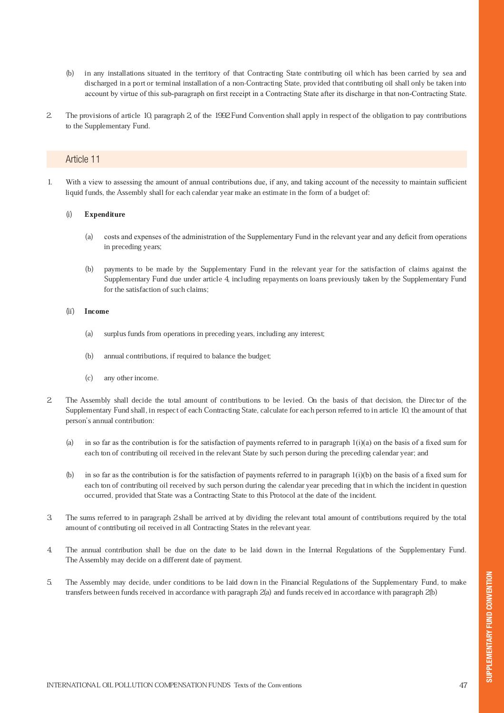- (b) in any installations situated in the territory of that Contracting State contributing oil which has been carried by sea and discharged in a port or terminal installation of a non-Contracting State, provided that contributing oil shall only be taken into account by virtue of this sub-paragraph on first receipt in a Contracting State after its discharge in that non-Contracting State.
- 2. The provisions of article 10, paragraph 2, of the 1992 Fund Convention shall apply in respect of the obligation to pay contributions to the Supplementary Fund.

1. With a view to assessing the amount of annual contributions due, if any, and taking account of the necessity to maintain sufficient liquid funds, the Assembly shall for each calendar year make an estimate in the form of a budget of:

#### **Expenditure** (i)

- (a) costs and expenses of the administration of the Supplementary Fund in the relevant year and any deficit from operations in preceding years;
- (b) payments to be made by the Supplementary Fund in the relevant year for the satisfaction of claims against the Supplementary Fund due under article 4, including repayments on loans previously taken by the Supplementary Fund for the satisfaction of such claims;

#### Income  $(ii)$

- (a) surplus funds from operations in preceding years, including any interest;
- (b) annual contributions, if required to balance the budget;
- (c) any other income.
- 2. The Assembly shall decide the total amount of contributions to be levied. On the basis of that decision, the Director of the Supplementary Fund shall, in respect of each Contracting State, calculate for each person referred to in article 10, the amount of that person's annual contribution:
	- (a) in so far as the contribution is for the satisfaction of payments referred to in paragraph  $1(i)(a)$  on the basis of a fixed sum for each ton of contributing oil received in the relevant State by such person during the preceding calendar year; and
	- (b) in so far as the contribution is for the satisfaction of payments referred to in paragraph 1(i)(b) on the basis of a fixed sum for each ton of contributing oil received by such person during the calendar year preceding that in which the incident in question occurred, provided that State was a Contracting State to this Protocol at the date of the incident.
- 3. The sums referred to in paragraph 2 shall be arrived at by dividing the relevant total amount of contributions required by the total amount of contributing oil received in all Contracting States in the relevant year.
- 4. The annual contribution shall be due on the date to be laid down in the Internal Regulations of the Supplementary Fund. The Assembly may decide on a different date of payment.
- 5. The Assembly may decide, under conditions to be laid down in the Financial Regulations of the Supplementary Fund, to make transfers between funds received in accordance with paragraph 2(a) and funds received in accordance with paragraph 2(b)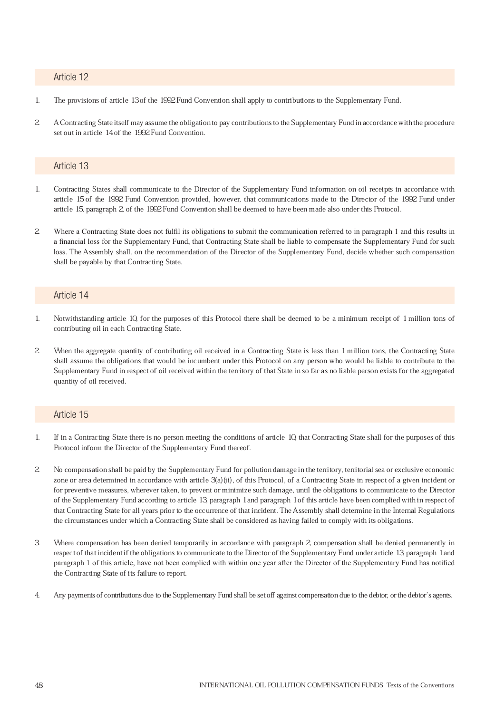- 1. The provisions of article 13 of the 1992 Fund Convention shall apply to contributions to the Supplementary Fund.
- 2. A Contracting State itself may assume the obligation to pay contributions to the Supplementary Fund in accordance with the procedure set out in article 14 of the 1992 Fund Convention.

#### Article 13

- 1. Contracting States shall communicate to the Director of the Supplementary Fund information on oil receipts in accordance with article 15 of the 1992 Fund Convention provided, however, that communications made to the Director of the 1992 Fund under article 15, paragraph 2, of the 1992 Fund Convention shall be deemed to have been made also under this Protocol.
- 2. Where a Contracting State does not fulfil its obligations to submit the communication referred to in paragraph 1 and this results in a financial loss for the Supplementary Fund, that Contracting State shall be liable to compensate the Supplementary Fund for such loss. The Assembly shall, on the recommendation of the Director of the Supplementary Fund, decide whether such compensation shall be payable by that Contracting State.

### Article 14

- 1. Notwithstanding article 10, for the purposes of this Protocol there shall be deemed to be a minimum receipt of 1 million tons of contributing oil in each Contracting State.
- 2. When the aggregate quantity of contributing oil received in a Contracting State is less than 1 million tons, the Contracting State shall assume the obligations that would be incumbent under this Protocol on any person who would be liable to contribute to the Supplementary Fund in respect of oil received within the territory of that State in so far as no liable person exists for the aggregated quantity of oil received.

#### Article 15

- 1. If in a Contracting State there is no person meeting the conditions of article 10, that Contracting State shall for the purposes of this Protocol inform the Director of the Supplementary Fund thereof.
- 2. No compensation shall be paid by the Supplementary Fund for pollution damage in the territory, territorial sea or exclusive economic zone or area determined in accordance with article 3(a)(ii), of this Protocol, of a Contracting State in respect of a given incident or for preventive measures, wherever taken, to prevent or minimize such damage, until the obligations to communicate to the Director of the Supplementary Fund according to article 13, paragraph 1 and paragraph 1 of this article have been complied with in respect of that Contracting State for all years prior to the occurrence of that incident. The Assembly shall determine in the Internal Regulations the circumstances under which a Contracting State shall be considered as having failed to comply with its obligations.
- 3. Where compensation has been denied temporarily in accordance with paragraph 2, compensation shall be denied permanently in respect of that incident if the obligations to communicate to the Director of the Supplementary Fund under article 13, paragraph 1 and paragraph 1 of this article, have not been complied with within one year after the Director of the Supplementary Fund has notified the Contracting State of its failure to report.
- 4. Any payments of contributions due to the Supplementary Fund shall be set off against compensation due to the debtor, or the debtor's agents.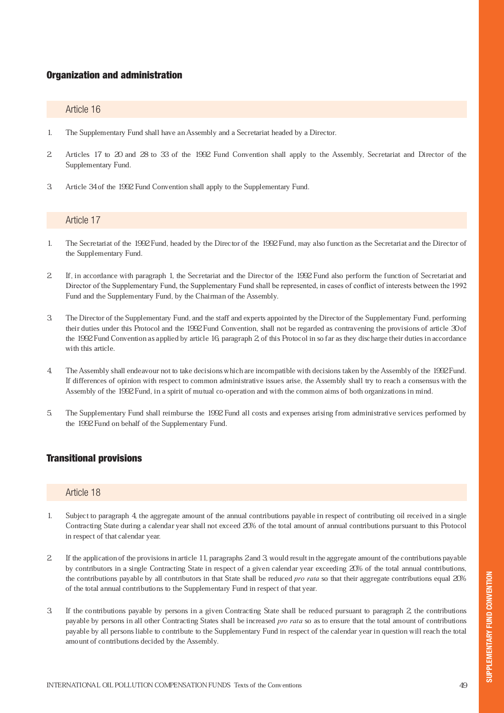# Organization and administration

#### Article 16

- 1. The Supplementary Fund shall have an Assembly and a Secretariat headed by a Director.
- 2. Articles 17 to 20 and 28 to 33 of the 1992 Fund Convention shall apply to the Assembly, Secretariat and Director of the Supplementary Fund.
- 3. Article 34 of the 1992 Fund Convention shall apply to the Supplementary Fund.

# Article 17

- 1. The Secretariat of the 1992 Fund, headed by the Director of the 1992 Fund, may also function as the Secretariat and the Director of the Supplementary Fund.
- 2. If, in accordance with paragraph 1, the Secretariat and the Director of the 1992 Fund also perform the function of Secretariat and Director of the Supplementary Fund, the Supplementary Fund shall be represented, in cases of conflict of interests between the 1992 Fund and the Supplementary Fund, by the Chairman of the Assembly.
- 3. The Director of the Supplementary Fund, and the staff and experts appointed by the Director of the Supplementary Fund, performing their duties under this Protocol and the 1992 Fund Convention, shall not be regarded as contravening the provisions of article 30 of the 1992 Fund Convention as applied by article 16, paragraph 2, of this Protocol in so far as they discharge their duties in accordance with this article.
- 4. The Assembly shall endeavour not to take decisions which are incompatible with decisions taken by the Assembly of the 1992 Fund. If differences of opinion with respect to common administrative issues arise, the Assembly shall try to reach a consensus with the Assembly of the 1992 Fund, in a spirit of mutual co-operation and with the common aims of both organizations in mind.
- 5. The Supplementary Fund shall reimburse the 1992 Fund all costs and expenses arising from administrative services performed by the 1992 Fund on behalf of the Supplementary Fund.

# Transitional provisions

#### Article 18

- 1. Subject to paragraph 4, the aggregate amount of the annual contributions payable in respect of contributing oil received in a single Contracting State during a calendar year shall not exceed 20% of the total amount of annual contributions pursuant to this Protocol in respect of that calendar year.
- 2. If the application of the provisions in article 11, paragraphs 2 and 3, would result in the aggregate amount of the contributions payable by contributors in a single Contracting State in respect of a given calendar year exceeding 20% of the total annual contributions, the contributions payable by all contributors in that State shall be reduced *pro rata* so that their aggregate contributions equal  $\Delta V_0$ of the total annual contributions to the Supplementary Fund in respect of that year.
- 3. If the contributions payable by persons in a given Contracting State shall be reduced pursuant to paragraph 2, the contributions payable by persons in all other Contracting States shall be increased *pro rata* so as to ensure that the total amount of contributions payable by all persons liable to contribute to the Supplementary Fund in respect of the calendar year in question will reach the total amount of contributions decided by the Assembly.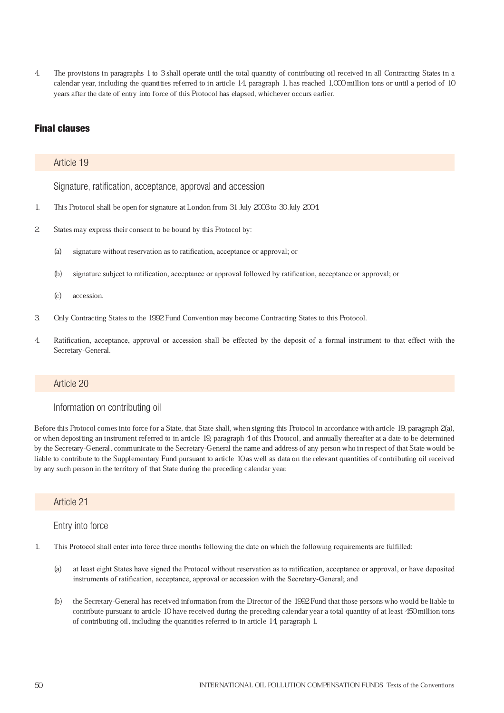4. The provisions in paragraphs 1 to 3 shall operate until the total quantity of contributing oil received in all Contracting States in a calendar year, including the quantities referred to in article 14, paragraph 1, has reached 1,000 million tons or until a period of 10 years after the date of entry into force of this Protocol has elapsed, whichever occurs earlier.

# Final clauses

#### Article 19

Signature, ratification, acceptance, approval and accession

- 1. This Protocol shall be open for signature at London from 31 July 2003 to 30 July 2004.
- 2. States may express their consent to be bound by this Protocol by:
	- (a) signature without reservation as to ratification, acceptance or approval; or
	- (b) signature subject to ratification, acceptance or approval followed by ratification, acceptance or approval; or
	- (c) accession.
- 3. Only Contracting States to the 1992 Fund Convention may become Contracting States to this Protocol.
- 4. Ratification, acceptance, approval or accession shall be effected by the deposit of a formal instrument to that effect with the Secretary-General.

### Article 20

# Information on contributing oil

Before this Protocol comes into force for a State, that State shall, when signing this Protocol in accordance with article 19, paragraph 2(a), or when depositing an instrument referred to in article 19, paragraph 4 of this Protocol, and annually thereafter at a date to be determined by the Secretary-General, communicate to the Secretary-General the name and address of any person who in respect of that State would be liable to contribute to the Supplementary Fund pursuant to article 10 as well as data on the relevant quantities of contributing oil received by any such person in the territory of that State during the preceding calendar year.

#### Article 21

#### Entry into force

- 1. This Protocol shall enter into force three months following the date on which the following requirements are fulfilled:
	- (a) at least eight States have signed the Protocol without reservation as to ratification, acceptance or approval, or have deposited instruments of ratification, acceptance, approval or accession with the Secretary-General; and
	- (b) the Secretary-General has received information from the Director of the 1992 Fund that those persons who would be liable to contribute pursuant to article 10 have received during the preceding calendar year a total quantity of at least 450 million tons of contributing oil, including the quantities referred to in article 14, paragraph 1.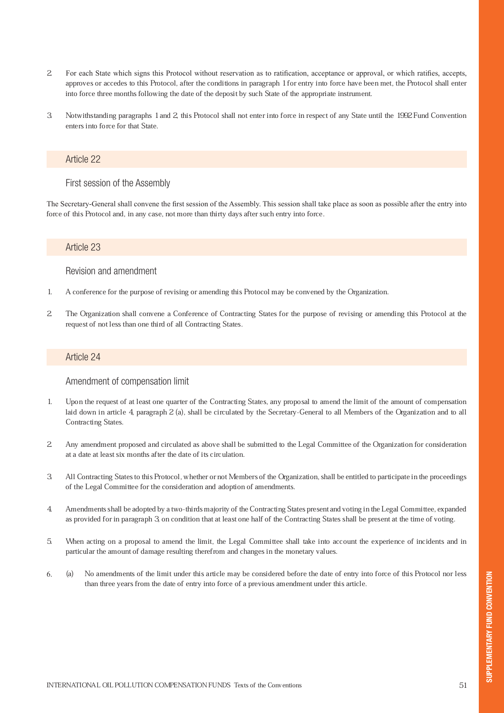- 2. For each State which signs this Protocol without reservation as to ratification, acceptance or approval, or which ratifies, accepts, approves or accedes to this Protocol, after the conditions in paragraph 1 for entry into force have been met, the Protocol shall enter into force three months following the date of the deposit by such State of the appropriate instrument.
- 3. Notwithstanding paragraphs 1 and 2, this Protocol shall not enter into force in respect of any State until the 1992 Fund Convention enters into force for that State.

#### First session of the Assembly

The Secretary-General shall convene the first session of the Assembly. This session shall take place as soon as possible after the entry into force of this Protocol and, in any case, not more than thirty days after such entry into force.

#### Article 23

### Revision and amendment

- 1. A conference for the purpose of revising or amending this Protocol may be convened by the Organization.
- 2. The Organization shall convene a Conference of Contracting States for the purpose of revising or amending this Protocol at the request of not less than one third of all Contracting States.

#### Article 24

#### Amendment of compensation limit

- 1. Upon the request of at least one quarter of the Contracting States, any proposal to amend the limit of the amount of compensation laid down in article 4, paragraph 2 (a), shall be circulated by the Secretary-General to all Members of the Organization and to all Contracting States.
- 2. Any amendment proposed and circulated as above shall be submitted to the Legal Committee of the Organization for consideration at a date at least six months after the date of its circulation.
- 3. All Contracting States to this Protocol, whether or not Members of the Organization, shall be entitled to participate in the proceedings of the Legal Committee for the consideration and adoption of amendments.
- 4. Amendments shall be adopted by a two-thirds majority of the Contracting States present and voting in the Legal Committee, expanded as provided for in paragraph 3, on condition that at least one half of the Contracting States shall be present at the time of voting.
- 5. When acting on a proposal to amend the limit, the Legal Committee shall take into account the experience of incidents and in particular the amount of damage resulting therefrom and changes in the monetary values.
- (a) No amendments of the limit under this article may be considered before the date of entry into force of this Protocol nor less than three years from the date of entry into force of a previous amendment under this article. 6.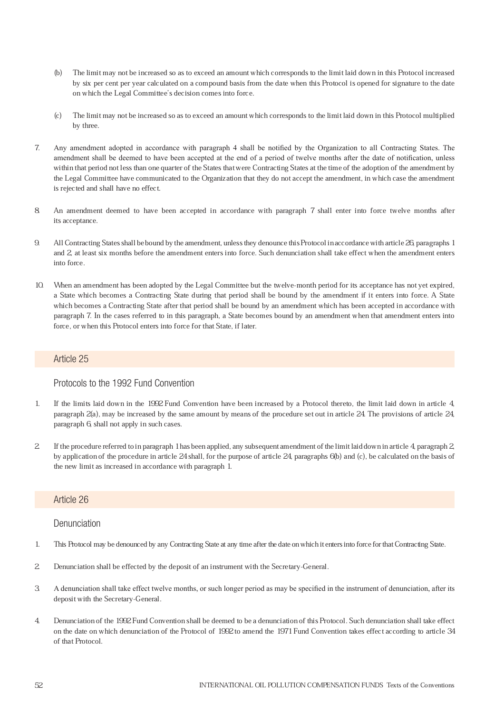- (b) The limit may not be increased so as to exceed an amount which corresponds to the limit laid down in this Protocol increased by six per cent per year calculated on a compound basis from the date when this Protocol is opened for signature to the date on which the Legal Committee's decision comes into force.
- (c) The limit may not be increased so as to exceed an amount which corresponds to the limit laid down in this Protocol multiplied by three.
- 7. Any amendment adopted in accordance with paragraph 4 shall be notified by the Organization to all Contracting States. The amendment shall be deemed to have been accepted at the end of a period of twelve months after the date of notification, unless within that period not less than one quarter of the States that were Contracting States at the time of the adoption of the amendment by the Legal Committee have communicated to the Organization that they do not accept the amendment, in which case the amendment is rejected and shall have no effect.
- 8. An amendment deemed to have been accepted in accordance with paragraph 7 shall enter into force twelve months after its acceptance.
- 9. All Contracting States shall be bound by the amendment, unless they denounce this Protocol in accordance with article 26, paragraphs 1 and 2, at least six months before the amendment enters into force. Such denunciation shall take effect when the amendment enters into force.
- 10. When an amendment has been adopted by the Legal Committee but the twelve-month period for its acceptance has not yet expired, a State which becomes a Contracting State during that period shall be bound by the amendment if it enters into force. A State which becomes a Contracting State after that period shall be bound by an amendment which has been accepted in accordance with paragraph 7. In the cases referred to in this paragraph, a State becomes bound by an amendment when that amendment enters into force, or when this Protocol enters into force for that State, if later.

#### Protocols to the 1992 Fund Convention

- 1. If the limits laid down in the 1992 Fund Convention have been increased by a Protocol thereto, the limit laid down in article 4, paragraph 2(a), may be increased by the same amount by means of the procedure set out in article 24. The provisions of article 24, paragraph 6, shall not apply in such cases.
- 2. If the procedure referred to in paragraph 1 has been applied, any subsequent amendment of the limit laid down in article 4, paragraph 2, by application of the procedure in article 24 shall, for the purpose of article 24, paragraphs 6(b) and (c), be calculated on the basis of the new limit as increased in accordance with paragraph 1.

#### Article 26

### Denunciation

- 1. This Protocol may be denounced by any Contracting State at any time after the date on which it enters into force for that Contracting State.
- 2. Denunciation shall be effected by the deposit of an instrument with the Secretary-General.
- 3. A denunciation shall take effect twelve months, or such longer period as may be specified in the instrument of denunciation, after its deposit with the Secretary-General.
- 4. Denunciation of the 1992 Fund Convention shall be deemed to be a denunciation of this Protocol. Such denunciation shall take effect on the date on which denunciation of the Protocol of 1992 to amend the 1971 Fund Convention takes effect according to article 34 of that Protocol.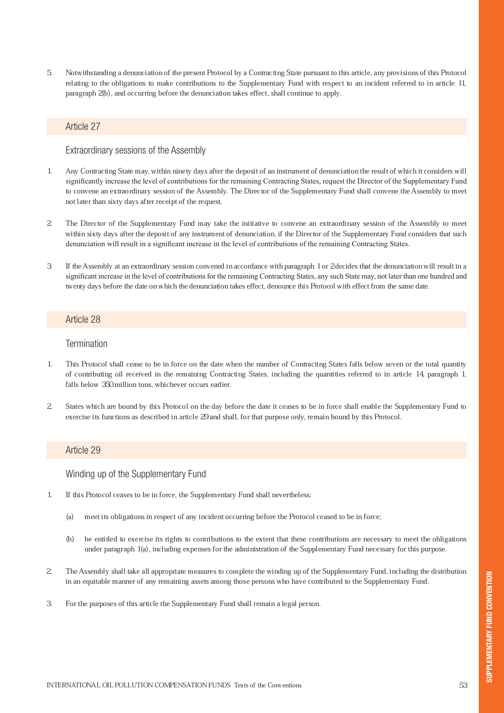5. Notwithstanding a denunciation of the present Protocol by a Contracting State pursuant to this article, any provisions of this Protocol relating to the obligations to make contributions to the Supplementary Fund with respect to an incident referred to in article 11, paragraph 2(b), and occurring before the denunciation takes effect, shall continue to apply.

#### Article 27

#### Extraordinary sessions of the Assembly

- 1. Any Contracting State may, within ninety days after the deposit of an instrument of denunciation the result of which it considers will significantly increase the level of contributions for the remaining Contracting States, request the Director of the Supplementary Fund to convene an extraordinary session of the Assembly. The Director of the Supplementary Fund shall convene the Assembly to meet not later than sixty days after receipt of the request.
- 2. The Director of the Supplementary Fund may take the initiative to convene an extraordinary session of the Assembly to meet within sixty days after the deposit of any instrument of denunciation, if the Director of the Supplementary Fund considers that such denunciation will result in a significant increase in the level of contributions of the remaining Contracting States.
- 3. If the Assembly at an extraordinary session convened in accordance with paragraph 1 or 2 decides that the denunciation will result in a significant increase in the level of contributions for the remaining Contracting States, any such State may, not later than one hundred and twenty days before the date on which the denunciation takes effect, denounce this Protocol with effect from the same date.

#### Article 28

#### **Termination**

- 1. This Protocol shall cease to be in force on the date when the number of Contracting States falls below seven or the total quantity of contributing oil received in the remaining Contracting States, including the quantities referred to in article 14, paragraph 1, falls below 350 million tons, whichever occurs earlier.
- 2. States which are bound by this Protocol on the day before the date it ceases to be in force shall enable the Supplementary Fund to exercise its functions as described in article 29 and shall, for that purpose only, remain bound by this Protocol.

#### Article 29

Winding up of the Supplementary Fund

- 1. If this Protocol ceases to be in force, the Supplementary Fund shall nevertheless:
	- (a) meet its obligations in respect of any incident occurring before the Protocol ceased to be in force;
	- (b) be entitled to exercise its rights to contributions to the extent that these contributions are necessary to meet the obligations under paragraph 1(a), including expenses for the administration of the Supplementary Fund necessary for this purpose.
- 2. The Assembly shall take all appropriate measures to complete the winding up of the Supplementary Fund, including the distribution in an equitable manner of any remaining assets among those persons who have contributed to the Supplementary Fund.
- 3. For the purposes of this article the Supplementary Fund shall remain a legal person.